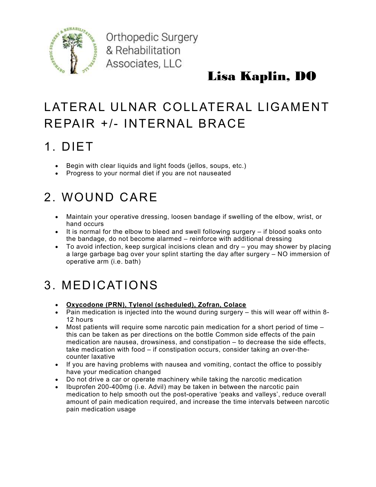

Orthopedic Surgery & Rehabilitation Associates, LLC

#### Lisa Kaplin, DO

### LATERAL ULNAR COLLATERAL LIGAMENT REPAIR +/- INTERNAL BRACE

#### 1. DIET

- Begin with clear liquids and light foods (jellos, soups, etc.)
- Progress to your normal diet if you are not nauseated

### 2. WOUND CARE

- Maintain your operative dressing, loosen bandage if swelling of the elbow, wrist, or hand occurs
- It is normal for the elbow to bleed and swell following surgery  $-$  if blood soaks onto the bandage, do not become alarmed – reinforce with additional dressing
- To avoid infection, keep surgical incisions clean and dry you may shower by placing a large garbage bag over your splint starting the day after surgery – NO immersion of operative arm (i.e. bath)

## 3. MEDICATIONS

- Oxycodone (PRN), Tylenol (scheduled), Zofran, Colace
- Pain medication is injected into the wound during surgery this will wear off within 8- 12 hours
- $\bullet$  Most patients will require some narcotic pain medication for a short period of time  $$ this can be taken as per directions on the bottle Common side effects of the pain medication are nausea, drowsiness, and constipation – to decrease the side effects, take medication with food – if constipation occurs, consider taking an over-thecounter laxative
- If you are having problems with nausea and vomiting, contact the office to possibly have your medication changed
- Do not drive a car or operate machinery while taking the narcotic medication
- Ibuprofen 200-400mg (i.e. Advil) may be taken in between the narcotic pain medication to help smooth out the post-operative 'peaks and valleys', reduce overall amount of pain medication required, and increase the time intervals between narcotic pain medication usage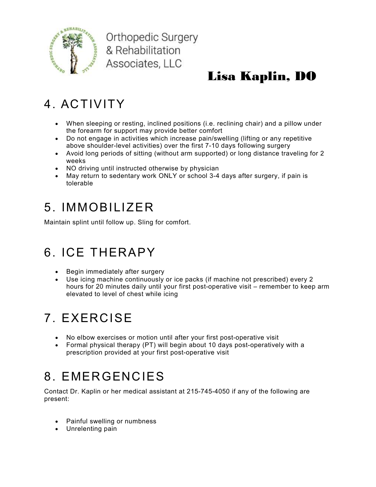

Orthopedic Surgery & Rehabilitation Associates, LLC

## Lisa Kaplin, DO

#### 4. ACTIVITY

- When sleeping or resting, inclined positions (i.e. reclining chair) and a pillow under the forearm for support may provide better comfort
- Do not engage in activities which increase pain/swelling (lifting or any repetitive above shoulder-level activities) over the first 7-10 days following surgery
- Avoid long periods of sitting (without arm supported) or long distance traveling for 2 weeks
- NO driving until instructed otherwise by physician
- May return to sedentary work ONLY or school 3-4 days after surgery, if pain is tolerable

## 5. IMMOBILIZER

Maintain splint until follow up. Sling for comfort.

#### 6. ICE THERAPY

- Begin immediately after surgery
- Use icing machine continuously or ice packs (if machine not prescribed) every 2 hours for 20 minutes daily until your first post-operative visit – remember to keep arm elevated to level of chest while icing

## 7. EXERCISE

- No elbow exercises or motion until after your first post-operative visit
- Formal physical therapy (PT) will begin about 10 days post-operatively with a prescription provided at your first post-operative visit

# 8. EMERGENCIES

Contact Dr. Kaplin or her medical assistant at 215-745-4050 if any of the following are present:

- Painful swelling or numbness
- Unrelenting pain